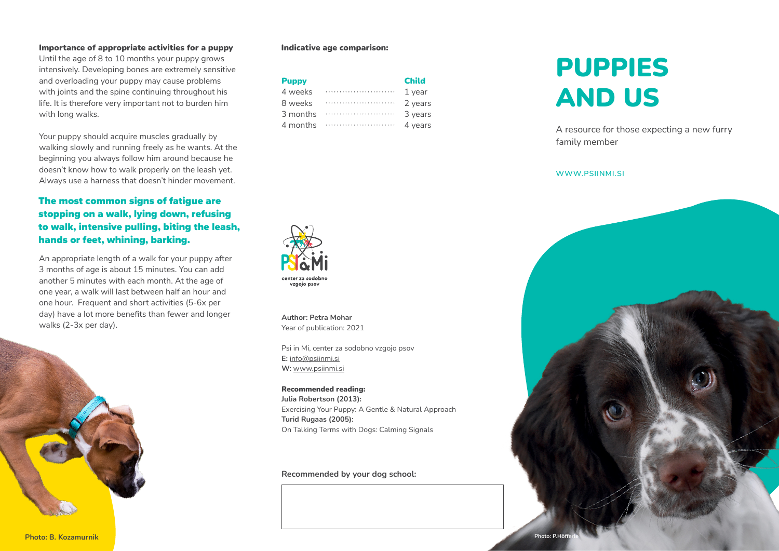## Importance of appropriate activities for a puppy

Until the age of 8 to 10 months your puppy grows intensively. Developing bones are extremely sensitive and overloading your puppy may cause problems with joints and the spine continuing throughout his life. It is therefore very important not to burden him with long walks.

Your puppy should acquire muscles gradually by walking slowly and running freely as he wants. At the beginning you always follow him around because he doesn't know how to walk properly on the leash yet. Always use a harness that doesn't hinder movement.

# The most common signs of fatigue are stopping on a walk, lying down, refusing to walk, intensive pulling, biting the leash, hands or feet, whining, barking.

An appropriate length of a walk for your puppy after 3 months of age is about 15 minutes. You can add another 5 minutes with each month. At the age of one year, a walk will last between half an hour and one hour. Frequent and short activities (5-6x per day) have a lot more benefits than fewer and longer walks (2-3x per day).



#### Indicative age comparison:

**Author: Petra Mohar** Year of publication: 2021

enter za sodobr vzgojo psov

**E:** [info@psiinmi.si](mailto:info%40psiinmi.si?subject=) **W:** www.psiinmi.si

Recommended reading: **Julia Robertson (2013):**

**Turid Rugaas (2005):** 

Psi in Mi, center za sodobno vzgojo psov

Exercising Your Puppy: A Gentle & Natural Approach

On Talking Terms with Dogs: Calming Signals

**Recommended by your dog school:**

| <b>Puppy</b> | <b>Child</b> |
|--------------|--------------|
| 4 weeks      | $1$ year     |
| 8 weeks      | 2 years      |
| 3 months     | 3 years      |
| 4 months     | 4 years      |

# PUPPIES AND US

A resource for those expecting a new furry family member

**[WWW.PSIINMI.SI](http://www.psiinmi.si)**